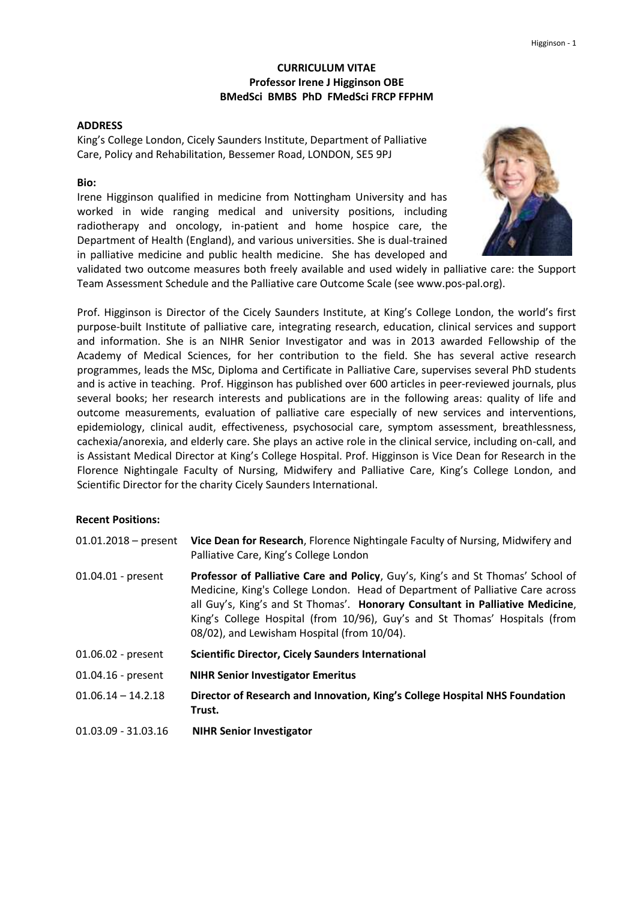## **CURRICULUM VITAE Professor Irene J Higginson OBE BMedSci BMBS PhD FMedSci FRCP FFPHM**

### **ADDRESS**

King's College London, Cicely Saunders Institute, Department of Palliative Care, Policy and Rehabilitation, Bessemer Road, LONDON, SE5 9PJ

### **Bio:**

Irene Higginson qualified in medicine from Nottingham University and has worked in wide ranging medical and university positions, including radiotherapy and oncology, in-patient and home hospice care, the Department of Health (England), and various universities. She is dual-trained in palliative medicine and public health medicine. She has developed and



validated two outcome measures both freely available and used widely in palliative care: the Support Team Assessment Schedule and the Palliative care Outcome Scale (se[e www.pos-pal.org\)](http://www.pos-pal.org/).

Prof. Higginson is Director of the Cicely Saunders Institute, at King's College London, the world's first purpose-built Institute of palliative care, integrating research, education, clinical services and support and information. She is an NIHR Senior Investigator and was in 2013 awarded Fellowship of the Academy of Medical Sciences, for her contribution to the field. She has several active research programmes, leads the MSc, Diploma and Certificate in Palliative Care, supervises several PhD students and is active in teaching. Prof. Higginson has published over 600 articles in peer-reviewed journals, plus several books; her research interests and publications are in the following areas: quality of life and outcome measurements, evaluation of palliative care especially of new services and interventions, epidemiology, clinical audit, effectiveness, psychosocial care, symptom assessment, breathlessness, cachexia/anorexia, and elderly care. She plays an active role in the clinical service, including on-call, and is Assistant Medical Director at King's College Hospital. Prof. Higginson is Vice Dean for Research in the Florence Nightingale Faculty of Nursing, Midwifery and Palliative Care, King's College London, and Scientific Director for the charity Cicely Saunders International.

### **Recent Positions:**

| $01.01.2018 - present$ | Vice Dean for Research, Florence Nightingale Faculty of Nursing, Midwifery and<br>Palliative Care, King's College London                                                                                                                                                                                                                                                       |
|------------------------|--------------------------------------------------------------------------------------------------------------------------------------------------------------------------------------------------------------------------------------------------------------------------------------------------------------------------------------------------------------------------------|
| 01.04.01 - present     | Professor of Palliative Care and Policy, Guy's, King's and St Thomas' School of<br>Medicine, King's College London. Head of Department of Palliative Care across<br>all Guy's, King's and St Thomas'. Honorary Consultant in Palliative Medicine,<br>King's College Hospital (from 10/96), Guy's and St Thomas' Hospitals (from<br>08/02), and Lewisham Hospital (from 10/04). |
| 01.06.02 - present     | <b>Scientific Director, Cicely Saunders International</b>                                                                                                                                                                                                                                                                                                                      |
| $01.04.16$ - present   | <b>NIHR Senior Investigator Emeritus</b>                                                                                                                                                                                                                                                                                                                                       |
| $01.06.14 - 14.2.18$   | Director of Research and Innovation, King's College Hospital NHS Foundation<br>Trust.                                                                                                                                                                                                                                                                                          |
| 01.03.09 - 31.03.16    | <b>NIHR Senior Investigator</b>                                                                                                                                                                                                                                                                                                                                                |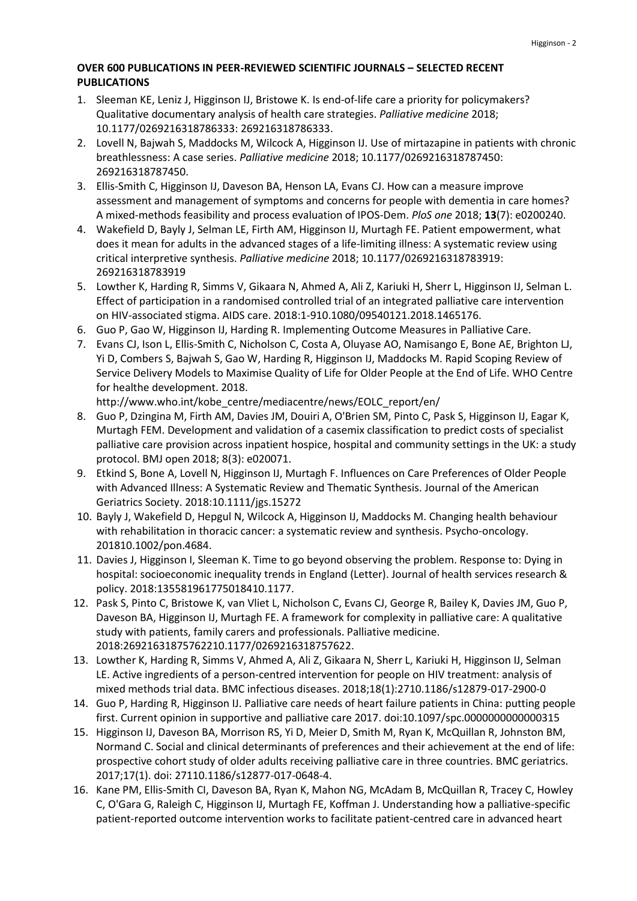# **OVER 600 PUBLICATIONS IN PEER-REVIEWED SCIENTIFIC JOURNALS – SELECTED RECENT PUBLICATIONS**

- 1. Sleeman KE, Leniz J, Higginson IJ, Bristowe K. Is end-of-life care a priority for policymakers? Qualitative documentary analysis of health care strategies. *Palliative medicine* 2018; 10.1177/0269216318786333: 269216318786333.
- 2. Lovell N, Bajwah S, Maddocks M, Wilcock A, Higginson IJ. Use of mirtazapine in patients with chronic breathlessness: A case series. *Palliative medicine* 2018; 10.1177/0269216318787450: 269216318787450.
- 3. Ellis-Smith C, Higginson IJ, Daveson BA, Henson LA, Evans CJ. How can a measure improve assessment and management of symptoms and concerns for people with dementia in care homes? A mixed-methods feasibility and process evaluation of IPOS-Dem. *PloS one* 2018; **13**(7): e0200240.
- 4. Wakefield D, Bayly J, Selman LE, Firth AM, Higginson IJ, Murtagh FE. Patient empowerment, what does it mean for adults in the advanced stages of a life-limiting illness: A systematic review using critical interpretive synthesis. *Palliative medicine* 2018; 10.1177/0269216318783919: 269216318783919
- 5. Lowther K, Harding R, Simms V, Gikaara N, Ahmed A, Ali Z, Kariuki H, Sherr L, Higginson IJ, Selman L. Effect of participation in a randomised controlled trial of an integrated palliative care intervention on HIV-associated stigma. AIDS care. 2018:1-910.1080/09540121.2018.1465176.
- 6. Guo P, Gao W, Higginson IJ, Harding R. Implementing Outcome Measures in Palliative Care.
- 7. Evans CJ, Ison L, Ellis-Smith C, Nicholson C, Costa A, Oluyase AO, Namisango E, Bone AE, Brighton LJ, Yi D, Combers S, Bajwah S, Gao W, Harding R, Higginson IJ, Maddocks M. Rapid Scoping Review of Service Delivery Models to Maximise Quality of Life for Older People at the End of Life. WHO Centre for healthe development. 2018.

[http://www.who.int/kobe\\_centre/mediacentre/news/EOLC\\_report/en/](http://www.who.int/kobe_centre/mediacentre/news/EOLC_report/en/)

- 8. Guo P, Dzingina M, Firth AM, Davies JM, Douiri A, O'Brien SM, Pinto C, Pask S, Higginson IJ, Eagar K, Murtagh FEM. Development and validation of a casemix classification to predict costs of specialist palliative care provision across inpatient hospice, hospital and community settings in the UK: a study protocol. BMJ open 2018; 8(3): e020071.
- 9. Etkind S, Bone A, Lovell N, Higginson IJ, Murtagh F. Influences on Care Preferences of Older People with Advanced Illness: A Systematic Review and Thematic Synthesis. Journal of the American Geriatrics Society. 2018:10.1111/jgs.15272
- 10. Bayly J, Wakefield D, Hepgul N, Wilcock A, Higginson IJ, Maddocks M. Changing health behaviour with rehabilitation in thoracic cancer: a systematic review and synthesis. Psycho-oncology. 201810.1002/pon.4684.
- 11. Davies J, Higginson I, Sleeman K. Time to go beyond observing the problem. Response to: Dying in hospital: socioeconomic inequality trends in England (Letter). Journal of health services research & policy. 2018:135581961775018410.1177.
- 12. Pask S, Pinto C, Bristowe K, van Vliet L, Nicholson C, Evans CJ, George R, Bailey K, Davies JM, Guo P, Daveson BA, Higginson IJ, Murtagh FE. A framework for complexity in palliative care: A qualitative study with patients, family carers and professionals. Palliative medicine. 2018:26921631875762210.1177/0269216318757622.
- 13. Lowther K, Harding R, Simms V, Ahmed A, Ali Z, Gikaara N, Sherr L, Kariuki H, Higginson IJ, Selman LE. Active ingredients of a person-centred intervention for people on HIV treatment: analysis of mixed methods trial data. BMC infectious diseases. 2018;18(1):2710.1186/s12879-017-2900-0
- 14. Guo P, Harding R, Higginson IJ. Palliative care needs of heart failure patients in China: putting people first. Current opinion in supportive and palliative care 2017. doi:10.1097/spc.0000000000000315
- 15. Higginson IJ, Daveson BA, Morrison RS, Yi D, Meier D, Smith M, Ryan K, McQuillan R, Johnston BM, Normand C. Social and clinical determinants of preferences and their achievement at the end of life: prospective cohort study of older adults receiving palliative care in three countries. BMC geriatrics. 2017;17(1). doi: 27110.1186/s12877-017-0648-4.
- 16. Kane PM, Ellis-Smith CI, Daveson BA, Ryan K, Mahon NG, McAdam B, McQuillan R, Tracey C, Howley C, O'Gara G, Raleigh C, Higginson IJ, Murtagh FE, Koffman J. Understanding how a palliative-specific patient-reported outcome intervention works to facilitate patient-centred care in advanced heart